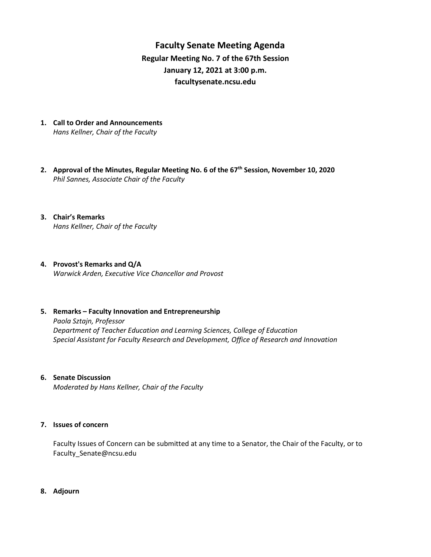**Faculty Senate Meeting Agenda Regular Meeting No. 7 of the 67th Session January 12, 2021 at 3:00 p.m. [facultysenate.ncsu.edu](https://facultysenate.ncsu.edu/)**

- **1. Call to Order and Announcements** *Hans Kellner, Chair of the Faculty*
- **2. Approval of the Minutes, Regular Meeting No. 6 of the 67 th Session, November 10, 2020** *Phil Sannes, Associate Chair of the Faculty*
- **3. Chair's Remarks** *Hans Kellner, Chair of the Faculty*
- **4. Provost's Remarks and Q/A** *Warwick Arden, Executive Vice Chancellor and Provost*
- **5. Remarks – Faculty Innovation and Entrepreneurship** *Paola Sztajn, Professor Department of Teacher Education and Learning Sciences, College of Education Special Assistant for Faculty Research and Development, Office of Research and Innovation*
- **6. Senate Discussion**

*Moderated by Hans Kellner, Chair of the Faculty*

## **7. Issues of concern**

Faculty Issues of Concern can be submitted at any time to a Senator, the Chair of the Faculty, or to [Faculty\\_Senate@ncsu.edu](mailto:Faculty_Senate@ncsu.edu)

**8. Adjourn**